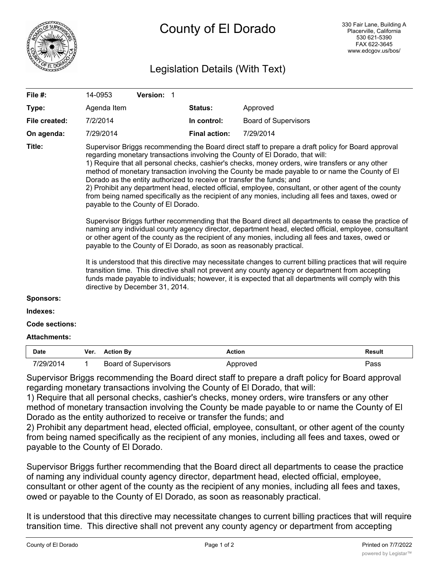

## Legislation Details (With Text)

| File #:               |                                                                                                                                                                                                                                                                                                                                                                                                                                                                                                                                                                                                                                                                                                                                                                                                                                                                                                                                                                                                                                                                                                                                                                                                                                                                                                                                                                                                                                                                                           | 14-0953          |                             | Version: 1 |  |                      |                             |               |
|-----------------------|-------------------------------------------------------------------------------------------------------------------------------------------------------------------------------------------------------------------------------------------------------------------------------------------------------------------------------------------------------------------------------------------------------------------------------------------------------------------------------------------------------------------------------------------------------------------------------------------------------------------------------------------------------------------------------------------------------------------------------------------------------------------------------------------------------------------------------------------------------------------------------------------------------------------------------------------------------------------------------------------------------------------------------------------------------------------------------------------------------------------------------------------------------------------------------------------------------------------------------------------------------------------------------------------------------------------------------------------------------------------------------------------------------------------------------------------------------------------------------------------|------------------|-----------------------------|------------|--|----------------------|-----------------------------|---------------|
| Type:                 |                                                                                                                                                                                                                                                                                                                                                                                                                                                                                                                                                                                                                                                                                                                                                                                                                                                                                                                                                                                                                                                                                                                                                                                                                                                                                                                                                                                                                                                                                           | Agenda Item      |                             |            |  | <b>Status:</b>       | Approved                    |               |
| File created:         |                                                                                                                                                                                                                                                                                                                                                                                                                                                                                                                                                                                                                                                                                                                                                                                                                                                                                                                                                                                                                                                                                                                                                                                                                                                                                                                                                                                                                                                                                           | 7/2/2014         |                             |            |  | In control:          | <b>Board of Supervisors</b> |               |
| On agenda:            |                                                                                                                                                                                                                                                                                                                                                                                                                                                                                                                                                                                                                                                                                                                                                                                                                                                                                                                                                                                                                                                                                                                                                                                                                                                                                                                                                                                                                                                                                           | 7/29/2014        |                             |            |  | <b>Final action:</b> | 7/29/2014                   |               |
| Title:                | Supervisor Briggs recommending the Board direct staff to prepare a draft policy for Board approval<br>regarding monetary transactions involving the County of El Dorado, that will:<br>1) Require that all personal checks, cashier's checks, money orders, wire transfers or any other<br>method of monetary transaction involving the County be made payable to or name the County of El<br>Dorado as the entity authorized to receive or transfer the funds; and<br>2) Prohibit any department head, elected official, employee, consultant, or other agent of the county<br>from being named specifically as the recipient of any monies, including all fees and taxes, owed or<br>payable to the County of El Dorado.<br>Supervisor Briggs further recommending that the Board direct all departments to cease the practice of<br>naming any individual county agency director, department head, elected official, employee, consultant<br>or other agent of the county as the recipient of any monies, including all fees and taxes, owed or<br>payable to the County of El Dorado, as soon as reasonably practical.<br>It is understood that this directive may necessitate changes to current billing practices that will require<br>transition time. This directive shall not prevent any county agency or department from accepting<br>funds made payable to individuals; however, it is expected that all departments will comply with this<br>directive by December 31, 2014. |                  |                             |            |  |                      |                             |               |
| <b>Sponsors:</b>      |                                                                                                                                                                                                                                                                                                                                                                                                                                                                                                                                                                                                                                                                                                                                                                                                                                                                                                                                                                                                                                                                                                                                                                                                                                                                                                                                                                                                                                                                                           |                  |                             |            |  |                      |                             |               |
| Indexes:              |                                                                                                                                                                                                                                                                                                                                                                                                                                                                                                                                                                                                                                                                                                                                                                                                                                                                                                                                                                                                                                                                                                                                                                                                                                                                                                                                                                                                                                                                                           |                  |                             |            |  |                      |                             |               |
| <b>Code sections:</b> |                                                                                                                                                                                                                                                                                                                                                                                                                                                                                                                                                                                                                                                                                                                                                                                                                                                                                                                                                                                                                                                                                                                                                                                                                                                                                                                                                                                                                                                                                           |                  |                             |            |  |                      |                             |               |
| <b>Attachments:</b>   |                                                                                                                                                                                                                                                                                                                                                                                                                                                                                                                                                                                                                                                                                                                                                                                                                                                                                                                                                                                                                                                                                                                                                                                                                                                                                                                                                                                                                                                                                           |                  |                             |            |  |                      |                             |               |
| <b>Date</b>           | Ver.                                                                                                                                                                                                                                                                                                                                                                                                                                                                                                                                                                                                                                                                                                                                                                                                                                                                                                                                                                                                                                                                                                                                                                                                                                                                                                                                                                                                                                                                                      | <b>Action By</b> |                             |            |  | <b>Action</b>        |                             | <b>Result</b> |
| 7/29/2014             | 1                                                                                                                                                                                                                                                                                                                                                                                                                                                                                                                                                                                                                                                                                                                                                                                                                                                                                                                                                                                                                                                                                                                                                                                                                                                                                                                                                                                                                                                                                         |                  | <b>Board of Supervisors</b> |            |  |                      | Approved                    | Pass          |

Supervisor Briggs recommending the Board direct staff to prepare a draft policy for Board approval regarding monetary transactions involving the County of El Dorado, that will:

1) Require that all personal checks, cashier's checks, money orders, wire transfers or any other method of monetary transaction involving the County be made payable to or name the County of El Dorado as the entity authorized to receive or transfer the funds; and

2) Prohibit any department head, elected official, employee, consultant, or other agent of the county from being named specifically as the recipient of any monies, including all fees and taxes, owed or payable to the County of El Dorado.

Supervisor Briggs further recommending that the Board direct all departments to cease the practice of naming any individual county agency director, department head, elected official, employee, consultant or other agent of the county as the recipient of any monies, including all fees and taxes, owed or payable to the County of El Dorado, as soon as reasonably practical.

It is understood that this directive may necessitate changes to current billing practices that will require transition time. This directive shall not prevent any county agency or department from accepting